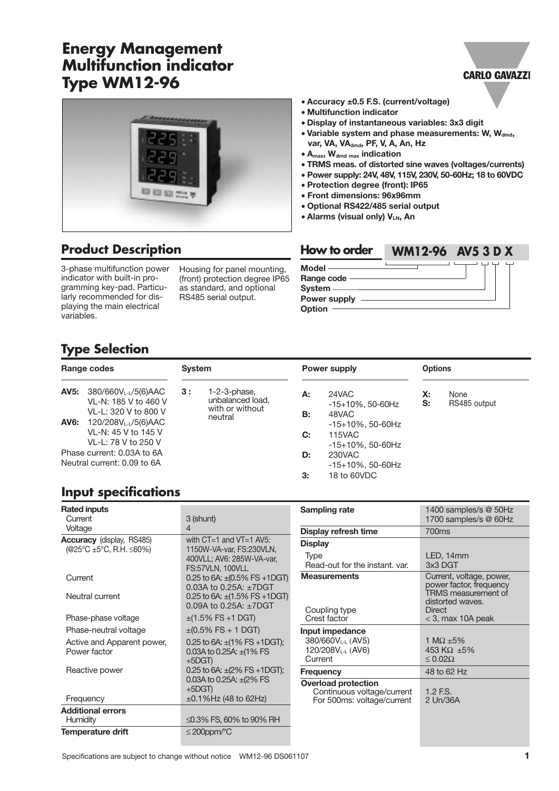# **Energy Management Multifunction indicator Type WM12-96**



# **Product Description**

3-phase multifunction power indicator with built-in programming key-pad. Particularly recommended for displaying the main electrical variables.

Housing for panel mounting, (front) protection degree IP65 as standard, and optional RS485 serial output.

- **Accuracy ±0.5 F.S. (current/voltage)**
- **Multifunction indicator**
- **Display of instantaneous variables: 3x3 digit**
- **Variable system and phase measurements: W, Wdmd,** var, VA, VA<sub>dmd</sub>, PF, V, A, An, Hz

**CARLO GAVAZZI** 

- **Amax, Wdmd max indication**
- **TRMS meas. of distorted sine waves (voltages/currents)**
- **Power supply: 24V, 48V, 115V, 230V, 50-60Hz; 18 to 60VDC**
- **Protection degree (front): IP65**
- **Front dimensions: 96x96mm**
- **Optional RS422/485 serial output**
- **Alarms (visual only) VLN, An**



# **Type Selection**

| Range codes                                               |                                                                                                                                            | <b>System</b> |                                                                   |          | <b>Power supply</b>                                            |                      | <b>Options</b>       |  |
|-----------------------------------------------------------|--------------------------------------------------------------------------------------------------------------------------------------------|---------------|-------------------------------------------------------------------|----------|----------------------------------------------------------------|----------------------|----------------------|--|
| <b>AV5:</b>                                               | 380/660VL-L/5(6)AAC<br>VL-N: 185 V to 460 V<br>VL-L: 320 V to 800 V<br><b>AV6:</b> 120/208V <sub>L-L</sub> /5(6)AAC<br>VL-N: 45 V to 145 V | 3 :           | $1-2-3$ -phase,<br>unbalanced load,<br>with or without<br>neutral | А:<br>В: | 24VAC<br>$-15+10\%$ , 50-60Hz<br>48VAC<br>$-15+10\%$ . 50-60Hz | $\mathsf{X}$ :<br>S: | None<br>RS485 output |  |
|                                                           | VL-L: 78 V to 250 V                                                                                                                        |               |                                                                   | C:       | 115VAC<br>$-15+10\%$ . 50-60Hz                                 |                      |                      |  |
| Phase current: 0.03A to 6A<br>Neutral current: 0.09 to 6A |                                                                                                                                            |               |                                                                   | D:<br>3: | 230VAC<br>$-15+10\%$ . 50-60Hz<br>18 to 60VDC                  |                      |                      |  |

# **Input specifications**

| <b>Rated inputs</b><br>Current                                                      | 3 (shunt)                                                                                                                                                         | <b>Sampling rate</b>                                         | 1400 samples/s @ 50Hz<br>1700 samples/s @ 60Hz                                                                                  |
|-------------------------------------------------------------------------------------|-------------------------------------------------------------------------------------------------------------------------------------------------------------------|--------------------------------------------------------------|---------------------------------------------------------------------------------------------------------------------------------|
| Voltage                                                                             | 4                                                                                                                                                                 | Display refresh time                                         | 700ms                                                                                                                           |
| <b>Accuracy</b> (display, RS485)<br>$(@25^{\circ}C \pm 5^{\circ}C, R.H. \leq 60\%)$ | with $CT=1$ and $VT=1$ AV5:<br>1150W-VA-var, FS:230VLN,<br>400VLL; AV6: 285W-VA-var,<br>FS:57VLN. 100VLL                                                          | <b>Display</b><br>Type<br>Read-out for the instant, var.     | LED, 14mm<br>3x3 DGT                                                                                                            |
| Current<br>Neutral current                                                          | 0.25 to 6A: $\pm$ (0.5% FS +1DGT)<br>0.03A to 0.25A: $\pm$ 7DGT<br>0.25 to 6A: $\pm$ (1.5% FS +1DGT)<br>0.09A to 0.25A: ±7DGT                                     | <b>Measurements</b><br>Coupling type                         | Current, voltage, power,<br>power factor, frequency<br>TRMS measurement of<br>distorted waves.<br>Direct<br>$<$ 3, max 10A peak |
| Phase-phase voltage                                                                 | $\pm$ (1.5% FS +1 DGT)                                                                                                                                            | Crest factor                                                 |                                                                                                                                 |
| Phase-neutral voltage                                                               | $\pm (0.5\%$ FS + 1 DGT)                                                                                                                                          | Input impedance                                              |                                                                                                                                 |
| Active and Apparent power,<br>Power factor                                          | 0.25 to 6A: $\pm$ (1% FS +1DGT);<br>0.03A to 0.25A: $\pm$ (1% FS)<br>$+5DGT$                                                                                      | 380/660V <sub>L-L</sub> (AV5)<br>120/208VLL (AV6)<br>Current | 1 M $\Omega$ ±5%<br>453 K $\Omega$ ±5%<br>$\leq 0.02\Omega$                                                                     |
| Reactive power                                                                      | 0.25 to 6A: $\pm$ (2% FS +1DGT);                                                                                                                                  | <b>Frequency</b>                                             | 48 to 62 Hz                                                                                                                     |
| Frequency                                                                           | 0.03A to 0.25A: $\pm$ (2% FS)<br><b>Overload protection</b><br>$+5DGT$<br>Continuous voltage/current<br>$\pm 0.1\%$ Hz (48 to 62Hz)<br>For 500ms: voltage/current |                                                              | $1.2$ F.S.<br>2 Un/36A                                                                                                          |
| <b>Additional errors</b>                                                            |                                                                                                                                                                   |                                                              |                                                                                                                                 |
| Humidity                                                                            | ≤0.3% FS, 60% to 90% RH                                                                                                                                           |                                                              |                                                                                                                                 |
| Temperature drift                                                                   | $\leq$ 200ppm/°C                                                                                                                                                  |                                                              |                                                                                                                                 |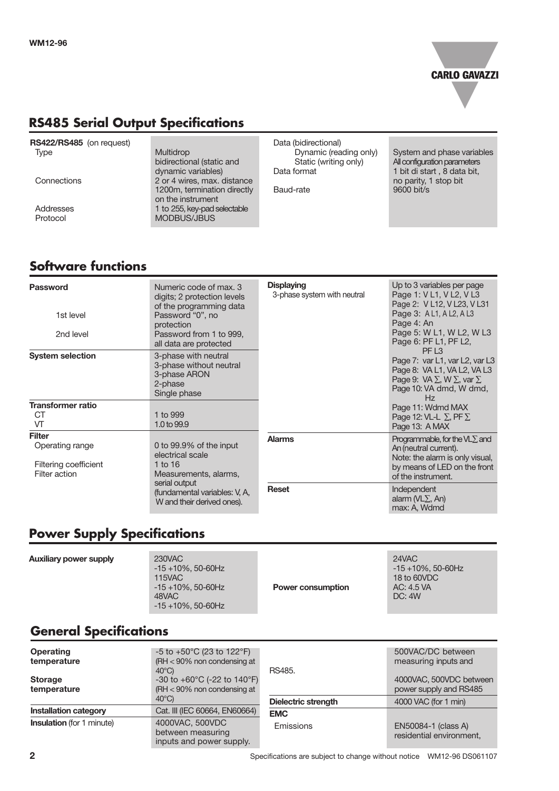

# **RS485 Serial Output Specifications**

| 1 to 255, key-pad selectable<br>Addresses<br>MODBUS/JBUS<br>Protocol | Connections | Static (writing only)<br>bidirectional (static and<br>dynamic variables)<br>Data format<br>2 or 4 wires, max. distance<br>1200m, termination directly<br>Baud-rate<br>on the instrument | All configuration parameters<br>1 bit di start, 8 data bit,<br>no parity, 1 stop bit<br>9600 bit/s |
|----------------------------------------------------------------------|-------------|-----------------------------------------------------------------------------------------------------------------------------------------------------------------------------------------|----------------------------------------------------------------------------------------------------|
|----------------------------------------------------------------------|-------------|-----------------------------------------------------------------------------------------------------------------------------------------------------------------------------------------|----------------------------------------------------------------------------------------------------|

# **Software functions**

| <b>Password</b><br>1st level                              | Numeric code of max, 3<br>digits; 2 protection levels<br>of the programming data<br>Password "0", no<br>protection                                                | <b>Displaying</b><br>3-phase system with neutral | Up to 3 variables per page<br>Page 1: V L1, V L2, V L3<br>Page 2: V L12, V L23, V L31<br>Page 3: A L1, A L2, A L3<br>Page 4: An<br>Page 5: W L1, W L2, W L3           |
|-----------------------------------------------------------|-------------------------------------------------------------------------------------------------------------------------------------------------------------------|--------------------------------------------------|-----------------------------------------------------------------------------------------------------------------------------------------------------------------------|
| 2nd level                                                 | Password from 1 to 999,<br>all data are protected                                                                                                                 |                                                  | Page 6: PF L1, PF L2,                                                                                                                                                 |
| <b>System selection</b>                                   | 3-phase with neutral<br>3-phase without neutral<br>3-phase ARON<br>2-phase<br>Single phase                                                                        |                                                  | PF <sub>L3</sub><br>Page 7: var L1, var L2, var L3<br>Page 8: VA L1, VA L2, VA L3<br>Page 9: VA $\Sigma$ , W $\Sigma$ , var $\Sigma$<br>Page 10: VA dmd, W dmd,<br>Hz |
| <b>Transformer ratio</b>                                  |                                                                                                                                                                   |                                                  | Page 11: Wdmd MAX                                                                                                                                                     |
| <b>CT</b>                                                 | 1 to 999                                                                                                                                                          |                                                  | Page 12: VL-L $\Sigma$ , PF $\Sigma$                                                                                                                                  |
| VT                                                        | 1.0 to 99.9                                                                                                                                                       |                                                  | Page 13: A MAX                                                                                                                                                        |
| <b>Filter</b>                                             |                                                                                                                                                                   | <b>Alarms</b>                                    | Programmable, for the $VL\Sigma$ and                                                                                                                                  |
| Operating range<br>Filtering coefficient<br>Filter action | 0 to 99.9% of the input<br>electrical scale<br>1 to $16$<br>Measurements, alarms,<br>serial output<br>(fundamental variables: V, A,<br>W and their derived ones). |                                                  | An (neutral current).<br>Note: the alarm is only visual,<br>by means of LED on the front<br>of the instrument.                                                        |
|                                                           |                                                                                                                                                                   | <b>Reset</b>                                     | Independent<br>alarm ( $VL\Sigma$ , An)<br>max: A, Wdmd                                                                                                               |

# **Power Supply Specifications**

| <b>Auxiliary power supply</b> | 230VAC<br>$-15+10\%$ , 50-60Hz<br><b>115VAC</b><br>$-15+10\%$ , 50-60Hz<br>48VAC<br>$-15+10\%$ , 50-60Hz | <b>Power consumption</b> | 24VAC<br>$-15 + 10\%$ , 50-60Hz<br>18 to 60VDC<br>AC: 4.5 VA<br>DC: 4W |
|-------------------------------|----------------------------------------------------------------------------------------------------------|--------------------------|------------------------------------------------------------------------|

# **General Specifications**

| <b>Operating</b><br>temperature<br><b>Storage</b> | $-5$ to $+50^{\circ}$ C (23 to 122 $^{\circ}$ F)<br>(RH $<$ 90% non condensing at<br>$40^{\circ}$ C)<br>-30 to +60 $^{\circ}$ C (-22 to 140 $^{\circ}$ F) | RS485.                     | 500VAC/DC between<br>measuring inputs and<br>4000VAC, 500VDC between |
|---------------------------------------------------|-----------------------------------------------------------------------------------------------------------------------------------------------------------|----------------------------|----------------------------------------------------------------------|
| temperature                                       | (RH $<$ 90% non condensing at<br>$40^{\circ}$ C)                                                                                                          | <b>Dielectric strength</b> | power supply and RS485<br>4000 VAC (for 1 min)                       |
| <b>Installation category</b>                      | Cat. III (IEC 60664, EN60664)                                                                                                                             | <b>EMC</b>                 |                                                                      |
| <b>Insulation</b> (for 1 minute)                  | 4000VAC, 500VDC<br>between measuring<br>inputs and power supply.                                                                                          | Emissions                  | EN50084-1 (class A)<br>residential environment,                      |

**2** Specifications are subject to change without notice WM12-96 DS061107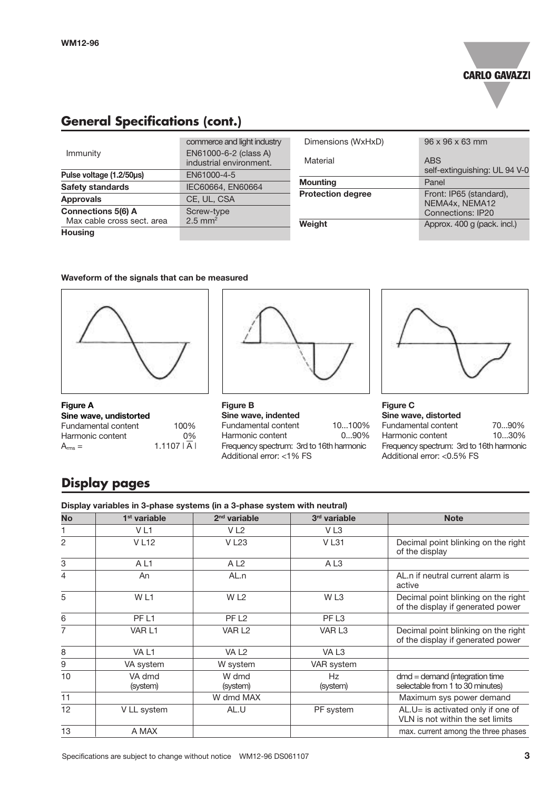

# **General Specifications (cont.)**

|                            | commerce and light industry                      |
|----------------------------|--------------------------------------------------|
| Immunity                   | EN61000-6-2 (class A)<br>industrial environment. |
| Pulse voltage (1.2/50µs)   | EN61000-4-5                                      |
| <b>Safety standards</b>    | IEC60664, EN60664                                |
| <b>Approvals</b>           | CE, UL, CSA                                      |
| <b>Connections 5(6) A</b>  | Screw-type                                       |
| Max cable cross sect, area | $2.5$ mm <sup>2</sup>                            |
| <b>Housing</b>             |                                                  |

| Dimensions (WxHxD)       | $96 \times 96 \times 63$ mm                                           |
|--------------------------|-----------------------------------------------------------------------|
| Material                 | <b>ABS</b><br>self-extinguishing: UL 94 V-0                           |
| <b>Mounting</b>          | Panel                                                                 |
| <b>Protection degree</b> | Front: IP65 (standard),<br>NEMA4x, NEMA12<br><b>Connections: IP20</b> |
| Weight                   | Approx. 400 g (pack. incl.)                                           |

### **Waveform of the signals that can be measured**



| <b>Figure A</b>            |              |
|----------------------------|--------------|
| Sine wave, undistorted     |              |
| <b>Fundamental content</b> | 100%         |
| Harmonic content           | $0\%$        |
| $A_{\rm rms} =$            | $1.1107$   A |



**Figure B Sine wave, indented** Fundamental content 10...100%<br>Harmonic content 0...90% Harmonic content Frequency spectrum: 3rd to 16th harmonic Additional error: <1% FS



#### **Figure C Sine wave, distorted**

| Fundamental content                      | 7090%    |  |  |  |
|------------------------------------------|----------|--|--|--|
| Harmonic content                         | $1030\%$ |  |  |  |
| Frequency spectrum: 3rd to 16th harmonic |          |  |  |  |
| Additional error: <0.5% FS               |          |  |  |  |

## **Display pages**

### **Display variables in 3-phase systems (in a 3-phase system with neutral)**

| <b>No</b>      | 1 <sup>st</sup> variable | $2nd$ variable     | 3rd variable      | <b>Note</b>                                                              |
|----------------|--------------------------|--------------------|-------------------|--------------------------------------------------------------------------|
| 1.             | V <sub>L1</sub>          | V <sub>L2</sub>    | VL <sub>3</sub>   |                                                                          |
| $\overline{2}$ | <b>VL12</b>              | <b>VL23</b>        | <b>VL31</b>       | Decimal point blinking on the right<br>of the display                    |
| 3              | AL <sub>1</sub>          | AL <sub>2</sub>    | AL3               |                                                                          |
| 4              | An                       | AL.n               |                   | AL.n if neutral current alarm is<br>active                               |
| 5              | WL1                      | W <sub>L2</sub>    | W <sub>L3</sub>   | Decimal point blinking on the right<br>of the display if generated power |
| 6              | PF <sub>L1</sub>         | PF <sub>L2</sub>   | PF <sub>L3</sub>  |                                                                          |
| 7              | VAR L1                   | VAR L <sub>2</sub> | VAR <sub>L3</sub> | Decimal point blinking on the right<br>of the display if generated power |
| 8              | VA L1                    | VA <sub>L2</sub>   | VA L <sub>3</sub> |                                                                          |
| 9              | VA system                | W system           | VAR system        |                                                                          |
| 10             | VA dmd<br>(system)       | W dmd<br>(system)  | Hz<br>(system)    | $dmd =$ demand (integration time<br>selectable from 1 to 30 minutes)     |
| 11             |                          | W dmd MAX          |                   | Maximum sys power demand                                                 |
| 12             | V LL system              | AL.U               | PF system         | AL.U= is activated only if one of<br>VLN is not within the set limits    |
| 13             | A MAX                    |                    |                   | max. current among the three phases                                      |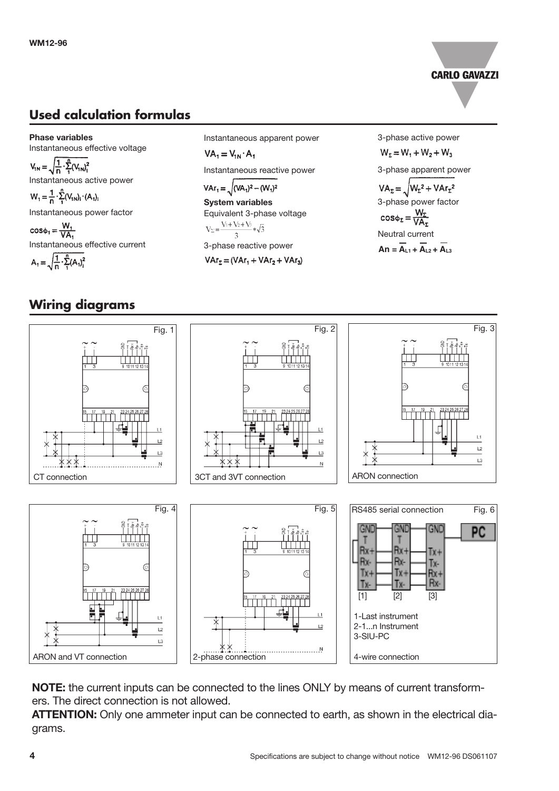

# **Used calculation formulas**

**Phase variables** Instantaneous effective voltage  $V_{1N} = \sqrt{\frac{1}{n} \cdot \sum_{1}^{n} (V_{1N})_{1}^{2}}$ Instantaneous active power  $W_1 = \frac{1}{n} \cdot \sum_{i=1}^{n} (V_{1N})_i \cdot (A_1)_i$ Instantaneous power factor  $cos\phi_1 = \frac{W_1}{VA_1}$ Instantaneous effective current  $A_1 = \sqrt{\frac{1}{n} \cdot \sum_{i=1}^{n} (A_i)^2}$ 

### Instantaneous apparent power

 $VA_1 = V_{1N} \cdot A_1$ Instantaneous reactive power

 $VAr_1 = \sqrt{(VA_1)^2 - (W_1)^2}$ 

**System variables** Equivalent 3-phase voltage<br>  $V_2 = \frac{V_1 + V_2 + V_3}{3} * \sqrt{3}$ 3-phase reactive power

 $VAr_{2} = (VAr_{1} + VAr_{2} + VAr_{3})$ 

3-phase active power  $W_5 = W_1 + W_2 + W_3$ 3-phase apparent power  $VA_{\Sigma} = \sqrt{W_{\Sigma}^2 + VAr_{\Sigma}^2}$ 3-phase power factor<br>cos $\phi_E = \frac{W_E}{VA_E}$ Neutral current  $An = \overline{A_{11} + A_{12} + A_{13}}$ 

## **Wiring diagrams**



**NOTE:** the current inputs can be connected to the lines ONLY by means of current transformers. The direct connection is not allowed.

**ATTENTION:** Only one ammeter input can be connected to earth, as shown in the electrical diagrams.